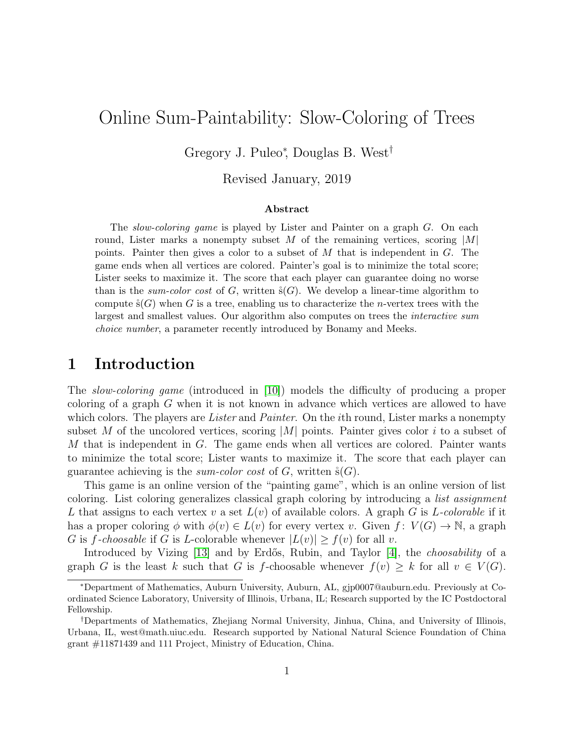# Online Sum-Paintability: Slow-Coloring of Trees

Gregory J. Puleo<sup>∗</sup> , Douglas B. West†

#### Revised January, 2019

#### Abstract

The *slow-coloring game* is played by Lister and Painter on a graph G. On each round, Lister marks a nonempty subset M of the remaining vertices, scoring  $|M|$ points. Painter then gives a color to a subset of  $M$  that is independent in  $G$ . The game ends when all vertices are colored. Painter's goal is to minimize the total score; Lister seeks to maximize it. The score that each player can guarantee doing no worse than is the sum-color cost of G, written  $\hat{s}(G)$ . We develop a linear-time algorithm to compute  $\hat{\mathbf{s}}(G)$  when G is a tree, enabling us to characterize the *n*-vertex trees with the largest and smallest values. Our algorithm also computes on trees the interactive sum choice number, a parameter recently introduced by Bonamy and Meeks.

### 1 Introduction

The *slow-coloring game* (introduced in [\[10\]](#page-17-0)) models the difficulty of producing a proper coloring of a graph G when it is not known in advance which vertices are allowed to have which colors. The players are *Lister* and *Painter*. On the ith round, Lister marks a nonempty subset M of the uncolored vertices, scoring  $|M|$  points. Painter gives color i to a subset of M that is independent in  $G$ . The game ends when all vertices are colored. Painter wants to minimize the total score; Lister wants to maximize it. The score that each player can guarantee achieving is the *sum-color cost* of  $G$ , written  $\mathring{s}(G)$ .

This game is an online version of the "painting game", which is an online version of list coloring. List coloring generalizes classical graph coloring by introducing a *list assignment* L that assigns to each vertex v a set  $L(v)$  of available colors. A graph G is L-colorable if it has a proper coloring  $\phi$  with  $\phi(v) \in L(v)$  for every vertex v. Given  $f: V(G) \to \mathbb{N}$ , a graph G is f-choosable if G is L-colorable whenever  $|L(v)| \ge f(v)$  for all v.

Introduced by Vizing [\[13\]](#page-17-1) and by Erd˝os, Rubin, and Taylor [\[4\]](#page-17-2), the *choosability* of a graph G is the least k such that G is f-choosable whenever  $f(v) \geq k$  for all  $v \in V(G)$ .

<sup>∗</sup>Department of Mathematics, Auburn University, Auburn, AL, gjp0007@auburn.edu. Previously at Coordinated Science Laboratory, University of Illinois, Urbana, IL; Research supported by the IC Postdoctoral Fellowship.

<sup>†</sup>Departments of Mathematics, Zhejiang Normal University, Jinhua, China, and University of Illinois, Urbana, IL, west@math.uiuc.edu. Research supported by National Natural Science Foundation of China grant #11871439 and 111 Project, Ministry of Education, China.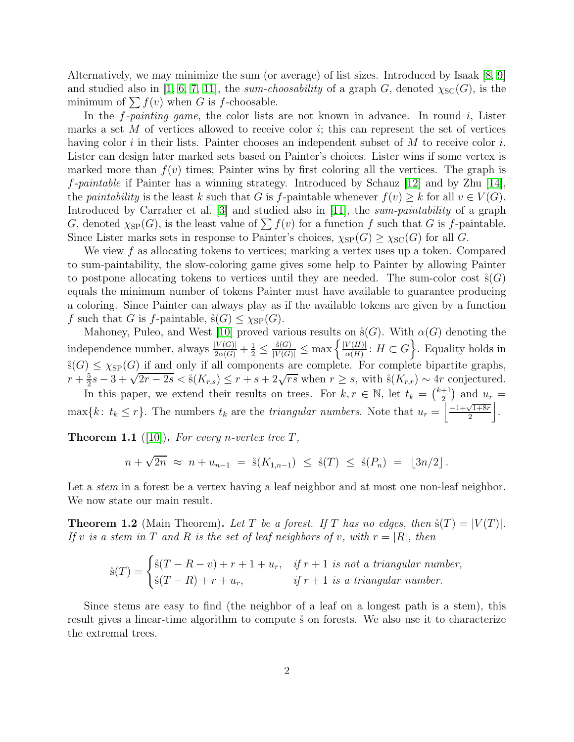Alternatively, we may minimize the sum (or average) of list sizes. Introduced by Isaak  $(8, 9)$ and studied also in [\[1,](#page-17-5) [6,](#page-17-6) [7,](#page-17-7) [11\]](#page-17-8), the *sum-choosability* of a graph G, denoted  $\chi_{\rm SC}(G)$ , is the minimum of  $\sum f(v)$  when G is f-choosable.

In the f*-painting game*, the color lists are not known in advance. In round i, Lister marks a set M of vertices allowed to receive color  $i$ ; this can represent the set of vertices having color i in their lists. Painter chooses an independent subset of  $M$  to receive color i. Lister can design later marked sets based on Painter's choices. Lister wins if some vertex is marked more than  $f(v)$  times; Painter wins by first coloring all the vertices. The graph is f*-paintable* if Painter has a winning strategy. Introduced by Schauz [\[12\]](#page-17-9) and by Zhu [\[14\]](#page-17-10), the *paintability* is the least k such that G is f-paintable whenever  $f(v) > k$  for all  $v \in V(G)$ . Introduced by Carraher et al. [\[3\]](#page-17-11) and studied also in [\[11\]](#page-17-8), the *sum-paintability* of a graph G, denoted  $\chi_{SP}(G)$ , is the least value of  $\sum f(v)$  for a function f such that G is f-paintable. Since Lister marks sets in response to Painter's choices,  $\chi_{SP}(G) \geq \chi_{SC}(G)$  for all G.

We view f as allocating tokens to vertices; marking a vertex uses up a token. Compared to sum-paintability, the slow-coloring game gives some help to Painter by allowing Painter to postpone allocating tokens to vertices until they are needed. The sum-color cost  $\hat{s}(G)$ equals the minimum number of tokens Painter must have available to guarantee producing a coloring. Since Painter can always play as if the available tokens are given by a function f such that G is f-paintable,  $\dot{s}(G) \leq \chi_{SP}(G)$ .

Mahoney, Puleo, and West [\[10\]](#page-17-0) proved various results on  $\mathcal{S}(G)$ . With  $\alpha(G)$  denoting the independence number, always  $\frac{|V(G)|}{2\alpha(G)} + \frac{1}{2} \le \frac{\hat{s}(G)}{|V(G)|} \le \max\left\{\frac{|V(H)|}{\alpha(H)} : H \subset G\right\}$ . Equality holds in  $\hat{s}(G) \leq \chi_{SP}(G)$  if and only if all components are complete. For complete bipartite graphs,  $r+\frac{5}{2}$  $\frac{5}{2}s - 3 + \sqrt{2r - 2s} < \overset{\circ}{s}(K_{r,s}) \leq r + s + 2\sqrt{rs}$  when  $r \geq s$ , with  $\overset{\circ}{s}(K_{r,r}) \sim 4r$  conjectured.

In this paper, we extend their results on trees. For  $k, r \in \mathbb{N}$ , let  $t_k = \binom{k+1}{2}$  $\binom{+1}{2}$  and  $u_r =$  $\max\{k: t_k \leq r\}$ . The numbers  $t_k$  are the *triangular numbers*. Note that  $u_r = \left\lfloor \frac{-1 + \sqrt{1+8r}}{2} \right\rfloor$  $\frac{\sqrt{1+8r}}{2}$ .

<span id="page-1-0"></span>**Theorem 1.1** ([\[10\]](#page-17-0)). For every n-vertex tree  $T$ ,

$$
n + \sqrt{2n} \approx n + u_{n-1} = \dot{s}(K_{1,n-1}) \leq \dot{s}(T) \leq \dot{s}(P_n) = \lfloor 3n/2 \rfloor.
$$

Let a *stem* in a forest be a vertex having a leaf neighbor and at most one non-leaf neighbor. We now state our main result.

<span id="page-1-1"></span>**Theorem 1.2** (Main Theorem). Let T be a forest. If T has no edges, then  $\hat{s}(T) = |V(T)|$ . *If* v *is a stem in* T *and* R *is the set of leaf neighbors of* v, with  $r = |R|$ , then

$$
\dot{\mathbf{s}}(T) = \begin{cases} \n\dot{\mathbf{s}}(T - R - v) + r + 1 + u_r, & \text{if } r + 1 \text{ is not a triangular number,} \\
\dot{\mathbf{s}}(T - R) + r + u_r, & \text{if } r + 1 \text{ is a triangular number.}\n\end{cases}
$$

Since stems are easy to find (the neighbor of a leaf on a longest path is a stem), this result gives a linear-time algorithm to compute  $\dot{s}$  on forests. We also use it to characterize the extremal trees.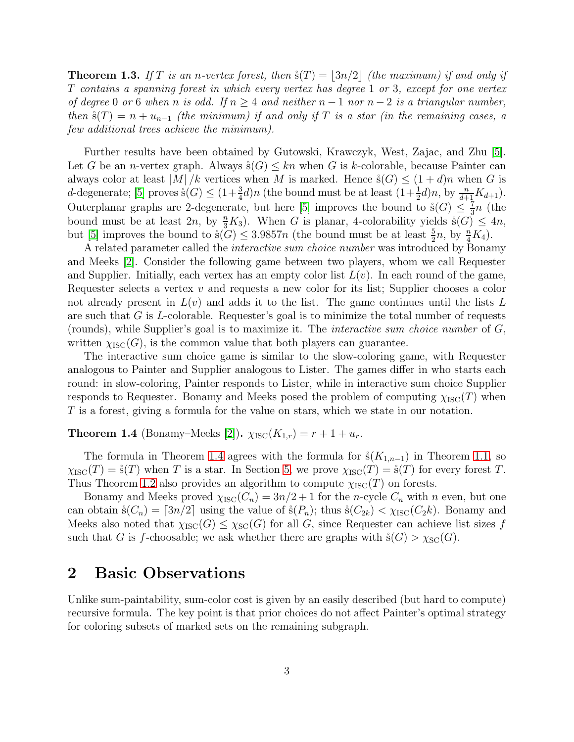<span id="page-2-1"></span>**Theorem 1.3.** If T is an n-vertex forest, then  $\hat{s}(T) = |3n/2|$  (the maximum) if and only if T *contains a spanning forest in which every vertex has degree* 1 *or* 3*, except for one vertex of degree* 0 *or* 6 *when n is odd.* If  $n \geq 4$  *and neither*  $n - 1$  *nor*  $n - 2$  *is a triangular number, then*  $\dot{s}(T) = n + u_{n-1}$  *(the minimum) if and only if* T *is a star (in the remaining cases, a few additional trees achieve the minimum).*

Further results have been obtained by Gutowski, Krawczyk, West, Zajac, and Zhu [\[5\]](#page-17-12). Let G be an *n*-vertex graph. Always  $\hat{s}(G) \leq kn$  when G is k-colorable, because Painter can always color at least  $|M|/k$  vertices when M is marked. Hence  $\hat{s}(G) \leq (1+d)n$  when G is d-degenerate; [\[5\]](#page-17-12) proves  $\dot{s}(G) \leq (1 + \frac{3}{4}d)n$  (the bound must be at least  $(1 + \frac{1}{2}d)n$ , by  $\frac{n}{d+1}K_{d+1}$ ). Outerplanar graphs are 2-degenerate, but here [\[5\]](#page-17-12) improves the bound to  $\dot{s}(G) \leq \frac{7}{3}$  $\frac{7}{3}n$  (the bound must be at least  $2n$ , by  $\frac{n}{3}K_3$ ). When G is planar, 4-colorability yields  $\dot{s}(G) \leq 4n$ , but [\[5\]](#page-17-12) improves the bound to  $\mathfrak{s}(G) \leq 3.9857n$  (the bound must be at least  $\frac{5}{2}n$ , by  $\frac{n}{4}K_4$ ).

A related parameter called the *interactive sum choice number* was introduced by Bonamy and Meeks [\[2\]](#page-17-13). Consider the following game between two players, whom we call Requester and Supplier. Initially, each vertex has an empty color list  $L(v)$ . In each round of the game, Requester selects a vertex  $v$  and requests a new color for its list; Supplier chooses a color not already present in  $L(v)$  and adds it to the list. The game continues until the lists L are such that G is L-colorable. Requester's goal is to minimize the total number of requests (rounds), while Supplier's goal is to maximize it. The *interactive sum choice number* of G, written  $\chi_{\rm ISC}(G)$ , is the common value that both players can guarantee.

The interactive sum choice game is similar to the slow-coloring game, with Requester analogous to Painter and Supplier analogous to Lister. The games differ in who starts each round: in slow-coloring, Painter responds to Lister, while in interactive sum choice Supplier responds to Requester. Bonamy and Meeks posed the problem of computing  $\chi_{\text{ISC}}(T)$  when T is a forest, giving a formula for the value on stars, which we state in our notation.

<span id="page-2-0"></span>**Theorem 1.4** (Bonamy–Meeks [\[2\]](#page-17-13)).  $\chi_{\text{ISC}}(K_{1,r}) = r + 1 + u_r$ .

The formula in Theorem [1.4](#page-2-0) agrees with the formula for  $\mathring{s}(K_{1,n-1})$  in Theorem [1.1,](#page-1-0) so  $\chi_{\rm{ISC}}(T) = \r{S}(T)$  when T is a star. In Section [5,](#page-12-0) we prove  $\chi_{\rm{ISC}}(T) = \r{S}(T)$  for every forest T. Thus Theorem [1.2](#page-1-1) also provides an algorithm to compute  $\chi_{\rm{ISC}}(T)$  on forests.

Bonamy and Meeks proved  $\chi_{\rm{ISC}}(C_n) = 3n/2 + 1$  for the *n*-cycle  $C_n$  with *n* even, but one can obtain  $\hat{s}(C_n) = \lceil 3n/2 \rceil$  using the value of  $\hat{s}(P_n)$ ; thus  $\hat{s}(C_{2k}) < \chi_{\text{ISC}}(C_2k)$ . Bonamy and Meeks also noted that  $\chi_{\rm{ISC}}(G) \leq \chi_{\rm{SC}}(G)$  for all G, since Requester can achieve list sizes f such that G is f-choosable; we ask whether there are graphs with  $\ddot{s}(G) > \chi_{\text{SC}}(G)$ .

## 2 Basic Observations

Unlike sum-paintability, sum-color cost is given by an easily described (but hard to compute) recursive formula. The key point is that prior choices do not affect Painter's optimal strategy for coloring subsets of marked sets on the remaining subgraph.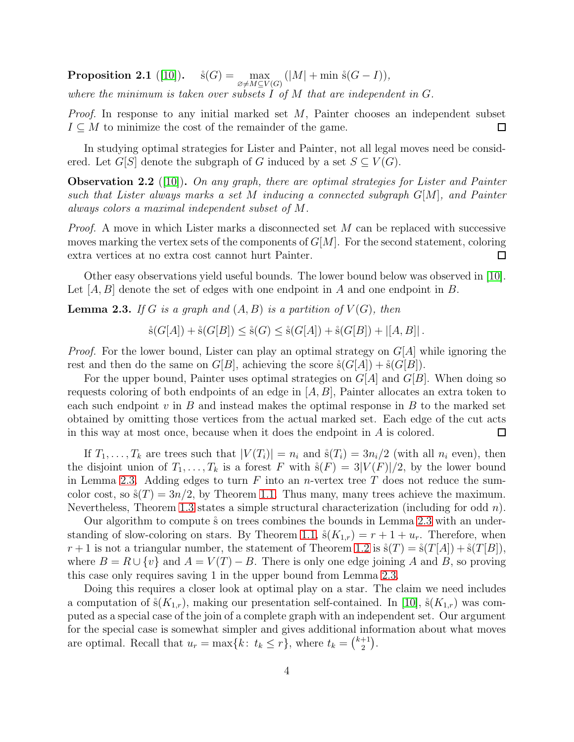<span id="page-3-1"></span>Proposition 2.1  $([10])$  $([10])$  $([10])$ .  $\max_{\varnothing\neq M\subseteq V(G)}(|M|+\min \hat{s}(G-I)),$ *where the minimum is taken over subsets* I *of* M *that are independent in* G*.*

*Proof.* In response to any initial marked set M, Painter chooses an independent subset  $I \subseteq M$  to minimize the cost of the remainder of the game.  $\Box$ 

In studying optimal strategies for Lister and Painter, not all legal moves need be considered. Let  $G[S]$  denote the subgraph of G induced by a set  $S \subseteq V(G)$ .

<span id="page-3-2"></span>Observation 2.2 ([\[10\]](#page-17-0)). *On any graph, there are optimal strategies for Lister and Painter such that Lister always marks a set* M *inducing a connected subgraph* G[M]*, and Painter always colors a maximal independent subset of* M*.*

*Proof.* A move in which Lister marks a disconnected set M can be replaced with successive moves marking the vertex sets of the components of  $G[M]$ . For the second statement, coloring extra vertices at no extra cost cannot hurt Painter.  $\Box$ 

Other easy observations yield useful bounds. The lower bound below was observed in [\[10\]](#page-17-0). Let  $[A, B]$  denote the set of edges with one endpoint in A and one endpoint in B.

<span id="page-3-0"></span>**Lemma 2.3.** If G is a graph and  $(A, B)$  is a partition of  $V(G)$ , then

$$
\dot{s}(G[A]) + \dot{s}(G[B]) \leq \dot{s}(G) \leq \dot{s}(G[A]) + \dot{s}(G[B]) + |[A, B]|.
$$

*Proof.* For the lower bound, Lister can play an optimal strategy on  $G[A]$  while ignoring the rest and then do the same on  $G[B]$ , achieving the score  $\mathcal{S}(G[A]) + \mathcal{S}(G[B])$ .

For the upper bound, Painter uses optimal strategies on  $G[A]$  and  $G[B]$ . When doing so requests coloring of both endpoints of an edge in  $[A, B]$ , Painter allocates an extra token to each such endpoint  $v$  in  $B$  and instead makes the optimal response in  $B$  to the marked set obtained by omitting those vertices from the actual marked set. Each edge of the cut acts in this way at most once, because when it does the endpoint in  $A$  is colored.  $\Box$ 

If  $T_1, \ldots, T_k$  are trees such that  $|V(T_i)| = n_i$  and  $\dot{s}(T_i) = 3n_i/2$  (with all  $n_i$  even), then the disjoint union of  $T_1, \ldots, T_k$  is a forest F with  $\dot{s}(F) = 3|V(F)|/2$ , by the lower bound in Lemma [2.3.](#page-3-0) Adding edges to turn  $F$  into an *n*-vertex tree  $T$  does not reduce the sumcolor cost, so  $\mathring{s}(T) = 3n/2$ , by Theorem [1.1.](#page-1-0) Thus many, many trees achieve the maximum. Nevertheless, Theorem [1.3](#page-2-1) states a simple structural characterization (including for odd  $n$ ).

Our algorithm to compute s on trees combines the bounds in Lemma [2.3](#page-3-0) with an under-standing of slow-coloring on stars. By Theorem [1.1,](#page-1-0)  $\hat{s}(K_{1,r}) = r + 1 + u_r$ . Therefore, when  $r+1$  is not a triangular number, the statement of Theorem [1.2](#page-1-1) is  $\mathcal{S}(T) = \mathcal{S}(T[A]) + \mathcal{S}(T[B]),$ where  $B = R \cup \{v\}$  and  $A = V(T) - B$ . There is only one edge joining A and B, so proving this case only requires saving 1 in the upper bound from Lemma [2.3.](#page-3-0)

Doing this requires a closer look at optimal play on a star. The claim we need includes a computation of  $\mathring{s}(K_{1,r})$ , making our presentation self-contained. In [\[10\]](#page-17-0),  $\mathring{s}(K_{1,r})$  was computed as a special case of the join of a complete graph with an independent set. Our argument for the special case is somewhat simpler and gives additional information about what moves are optimal. Recall that  $u_r = \max\{k: t_k \leq r\}$ , where  $t_k = \binom{k+1}{2}$  $\binom{+1}{2}$ .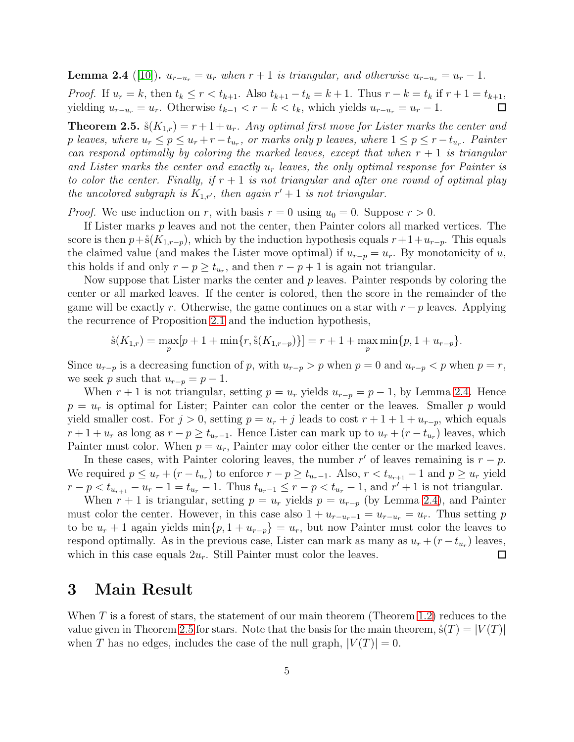<span id="page-4-0"></span>**Lemma 2.4** ([\[10\]](#page-17-0)).  $u_{r-u_r} = u_r$  when  $r+1$  is triangular, and otherwise  $u_{r-u_r} = u_r - 1$ .

*Proof.* If  $u_r = k$ , then  $t_k \le r < t_{k+1}$ . Also  $t_{k+1} - t_k = k+1$ . Thus  $r - k = t_k$  if  $r + 1 = t_{k+1}$ , vielding  $u_{r-u} = u_r$ . Otherwise  $t_{k-1} < r - k < t_k$ , which vields  $u_{r-u} = u_r - 1$ . yielding  $u_{r-u_r} = u_r$ . Otherwise  $t_{k-1} < r-k < t_k$ , which yields  $u_{r-u_r} = u_r - 1$ .

<span id="page-4-1"></span>**Theorem 2.5.**  $\dot{s}(K_{1,r}) = r + 1 + u_r$ . Any optimal first move for Lister marks the center and p *leaves, where*  $u_r \leq p \leq u_r + r - t_{u_r}$ , or marks only p *leaves, where*  $1 \leq p \leq r - t_{u_r}$ . Painter *can respond optimally by coloring the marked leaves, except that when* r + 1 *is triangular and Lister marks the center and exactly* u<sup>r</sup> *leaves, the only optimal response for Painter is to color the center. Finally, if* r + 1 *is not triangular and after one round of optimal play the uncolored subgraph is*  $K_{1,r'}$ *, then again*  $r' + 1$  *is not triangular.* 

*Proof.* We use induction on r, with basis  $r = 0$  using  $u_0 = 0$ . Suppose  $r > 0$ .

If Lister marks p leaves and not the center, then Painter colors all marked vertices. The score is then  $p+\hat{s}(K_{1,r-p})$ , which by the induction hypothesis equals  $r+1+u_{r-p}$ . This equals the claimed value (and makes the Lister move optimal) if  $u_{r-p} = u_r$ . By monotonicity of u, this holds if and only  $r - p \ge t_{u_r}$ , and then  $r - p + 1$  is again not triangular.

Now suppose that Lister marks the center and  $p$  leaves. Painter responds by coloring the center or all marked leaves. If the center is colored, then the score in the remainder of the game will be exactly r. Otherwise, the game continues on a star with  $r - p$  leaves. Applying the recurrence of Proposition [2.1](#page-3-1) and the induction hypothesis,

$$
\hat{s}(K_{1,r}) = \max_{p} [p+1 + \min\{r, \hat{s}(K_{1,r-p})\}] = r+1 + \max_{p} \min\{p, 1 + u_{r-p}\}.
$$

Since  $u_{r-p}$  is a decreasing function of p, with  $u_{r-p} > p$  when  $p = 0$  and  $u_{r-p} < p$  when  $p = r$ , we seek p such that  $u_{r-p} = p-1$ .

When  $r + 1$  is not triangular, setting  $p = u_r$  yields  $u_{r-p} = p - 1$ , by Lemma [2.4.](#page-4-0) Hence  $p = u_r$  is optimal for Lister; Painter can color the center or the leaves. Smaller p would yield smaller cost. For  $j > 0$ , setting  $p = u_r + j$  leads to cost  $r + 1 + 1 + u_{r-p}$ , which equals  $r + 1 + u_r$  as long as  $r - p \ge t_{u_r-1}$ . Hence Lister can mark up to  $u_r + (r - t_{u_r})$  leaves, which Painter must color. When  $p = u_r$ , Painter may color either the center or the marked leaves.

In these cases, with Painter coloring leaves, the number r' of leaves remaining is  $r - p$ . We required  $p \le u_r + (r - t_{u_r})$  to enforce  $r - p \ge t_{u_r-1}$ . Also,  $r < t_{u_{r+1}} - 1$  and  $p \ge u_r$  yield  $r - p < t_{u_{r+1}} - u_r - 1 = t_{u_r} - 1$ . Thus  $t_{u_r-1} \le r - p < t_{u_r} - 1$ , and  $r' + 1$  is not triangular.

When  $r + 1$  is triangular, setting  $p = u_r$  yields  $p = u_{r-p}$  (by Lemma [2.4\)](#page-4-0), and Painter must color the center. However, in this case also  $1 + u_{r-u_r-1} = u_{r-u_r} = u_r$ . Thus setting p to be  $u_r + 1$  again yields  $\min\{p, 1 + u_{r-p}\} = u_r$ , but now Painter must color the leaves to respond optimally. As in the previous case, Lister can mark as many as  $u_r + (r - t_{u_r})$  leaves, which in this case equals  $2u_r$ . Still Painter must color the leaves.  $\Box$ 

## <span id="page-4-2"></span>3 Main Result

When  $T$  is a forest of stars, the statement of our main theorem (Theorem [1.2\)](#page-1-1) reduces to the value given in Theorem [2.5](#page-4-1) for stars. Note that the basis for the main theorem,  $\hat{s}(T) = |V(T)|$ when T has no edges, includes the case of the null graph,  $|V(T)| = 0$ .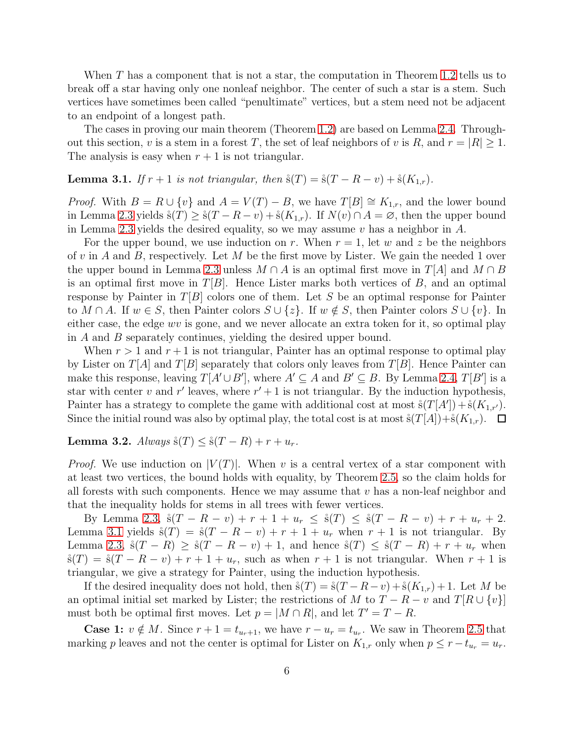When T has a component that is not a star, the computation in Theorem [1.2](#page-1-1) tells us to break off a star having only one nonleaf neighbor. The center of such a star is a stem. Such vertices have sometimes been called "penultimate" vertices, but a stem need not be adjacent to an endpoint of a longest path.

The cases in proving our main theorem (Theorem [1.2\)](#page-1-1) are based on Lemma [2.4.](#page-4-0) Throughout this section, v is a stem in a forest T, the set of leaf neighbors of v is R, and  $r = |R| \ge 1$ . The analysis is easy when  $r + 1$  is not triangular.

<span id="page-5-0"></span>**Lemma 3.1.** *If*  $r + 1$  *is not triangular, then*  $\ddot{s}(T) = \ddot{s}(T - R - v) + \ddot{s}(K_{1,r})$ *.* 

*Proof.* With  $B = R \cup \{v\}$  and  $A = V(T) - B$ , we have  $T[B] \cong K_{1,r}$ , and the lower bound in Lemma [2.3](#page-3-0) yields  $\hat{s}(T) \geq \hat{s}(T - R - v) + \hat{s}(K_{1,r})$ . If  $N(v) \cap A = \emptyset$ , then the upper bound in Lemma [2.3](#page-3-0) yields the desired equality, so we may assume  $v$  has a neighbor in  $A$ .

For the upper bound, we use induction on r. When  $r = 1$ , let w and z be the neighbors of v in A and B, respectively. Let M be the first move by Lister. We gain the needed 1 over the upper bound in Lemma [2.3](#page-3-0) unless  $M \cap A$  is an optimal first move in  $T[A]$  and  $M \cap B$ is an optimal first move in  $T[B]$ . Hence Lister marks both vertices of B, and an optimal response by Painter in  $T[B]$  colors one of them. Let S be an optimal response for Painter to  $M \cap A$ . If  $w \in S$ , then Painter colors  $S \cup \{z\}$ . If  $w \notin S$ , then Painter colors  $S \cup \{v\}$ . In either case, the edge wv is gone, and we never allocate an extra token for it, so optimal play in A and B separately continues, yielding the desired upper bound.

When  $r > 1$  and  $r + 1$  is not triangular, Painter has an optimal response to optimal play by Lister on  $T[A]$  and  $T[B]$  separately that colors only leaves from  $T[B]$ . Hence Painter can make this response, leaving  $T[A' \cup B']$ , where  $A' \subseteq A$  and  $B' \subseteq B$ . By Lemma [2.4,](#page-4-0)  $T[B']$  is a star with center v and r' leaves, where  $r' + 1$  is not triangular. By the induction hypothesis, Painter has a strategy to complete the game with additional cost at most  $\mathring{s}(T[A']) + \mathring{s}(K_{1,r'})$ . Since the initial round was also by optimal play, the total cost is at most  $\hat{s}(T[A])+\hat{s}(K_{1,r})$ .  $\Box$ 

## <span id="page-5-1"></span>**Lemma 3.2.** *Always*  $\hat{s}(T) \leq \hat{s}(T - R) + r + u_r$ .

*Proof.* We use induction on  $|V(T)|$ . When v is a central vertex of a star component with at least two vertices, the bound holds with equality, by Theorem [2.5,](#page-4-1) so the claim holds for all forests with such components. Hence we may assume that  $v$  has a non-leaf neighbor and that the inequality holds for stems in all trees with fewer vertices.

By Lemma [2.3,](#page-3-0)  $\hat{s}(T - R - v) + r + 1 + u_r \leq \hat{s}(T) \leq \hat{s}(T - R - v) + r + u_r + 2$ . Lemma [3.1](#page-5-0) yields  $\dot{s}(T) = \dot{s}(T - R - v) + r + 1 + u_r$  when  $r + 1$  is not triangular. By Lemma [2.3,](#page-3-0)  $\dot{s}(T - R) \geq \dot{s}(T - R - v) + 1$ , and hence  $\dot{s}(T) \leq \dot{s}(T - R) + r + u_r$  when  $\hat{s}(T) = \hat{s}(T - R - v) + r + 1 + u_r$ , such as when  $r + 1$  is not triangular. When  $r + 1$  is triangular, we give a strategy for Painter, using the induction hypothesis.

If the desired inequality does not hold, then  $\dot{s}(T) = \dot{s}(T - R - v) + \dot{s}(K_{1,r}) + 1$ . Let M be an optimal initial set marked by Lister; the restrictions of M to  $T - R - v$  and  $T[R \cup \{v\}]$ must both be optimal first moves. Let  $p = |M \cap R|$ , and let  $T' = T - R$ .

**Case 1:**  $v \notin M$ . Since  $r + 1 = t_{u_r+1}$ , we have  $r - u_r = t_{u_r}$ . We saw in Theorem [2.5](#page-4-1) that marking p leaves and not the center is optimal for Lister on  $K_{1,r}$  only when  $p \leq r - t_{u_r} = u_r$ .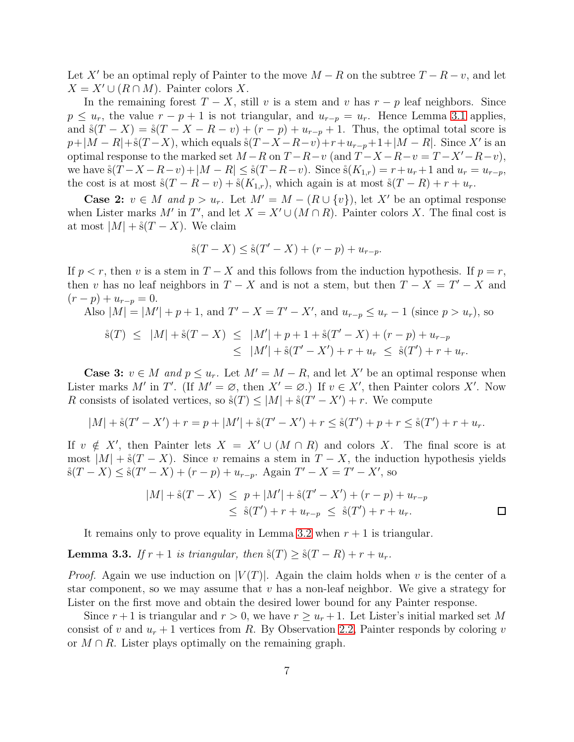Let X' be an optimal reply of Painter to the move  $M-R$  on the subtree  $T-R-v$ , and let  $X = X' \cup (R \cap M)$ . Painter colors X.

In the remaining forest  $T - X$ , still v is a stem and v has  $r - p$  leaf neighbors. Since  $p \leq u_r$ , the value  $r - p + 1$  is not triangular, and  $u_{r-p} = u_r$ . Hence Lemma [3.1](#page-5-0) applies, and  $\hat{s}(T - X) = \hat{s}(T - X - R - v) + (r - p) + u_{r-p} + 1$ . Thus, the optimal total score is  $p+|M-R|+\hat{s}(T-X)$ , which equals  $\hat{s}(T-X-R-v)+r+u_{r-p}+1+|M-R|$ . Since X' is an optimal response to the marked set  $M - R$  on  $T - R - v$  (and  $T - X - R - v = T - X' - R - v$ ), we have  $\hat{s}(T - X - R - v) + |M - R| \leq \hat{s}(T - R - v)$ . Since  $\hat{s}(K_{1,r}) = r + u_r + 1$  and  $u_r = u_{r-p}$ , the cost is at most  $\hat{s}(T - R - v) + \hat{s}(K_{1,r})$ , which again is at most  $\hat{s}(T - R) + r + u_r$ .

**Case 2:**  $v \in M$  and  $p > u_r$ . Let  $M' = M - (R \cup \{v\})$ , let X' be an optimal response when Lister marks  $M'$  in  $T'$ , and let  $X = X' \cup (M \cap R)$ . Painter colors X. The final cost is at most  $|M| + \overset{\circ}{\mathbf{s}}(T - X)$ . We claim

$$
\hat{s}(T - X) \le \hat{s}(T' - X) + (r - p) + u_{r-p}.
$$

If  $p < r$ , then v is a stem in  $T - X$  and this follows from the induction hypothesis. If  $p = r$ , then v has no leaf neighbors in  $T - X$  and is not a stem, but then  $T - X = T' - X$  and  $(r - p) + u_{r-p} = 0.$ <br>Also  $|M| = |M'|$ 

Also 
$$
|M| = |M'| + p + 1
$$
, and  $T' - X = T' - X'$ , and  $u_{r-p} \le u_r - 1$  (since  $p > u_r$ ), so

$$
\hat{s}(T) \le |M| + \hat{s}(T - X) \le |M'| + p + 1 + \hat{s}(T' - X) + (r - p) + u_{r-p}
$$
  
\n
$$
\le |M'| + \hat{s}(T' - X') + r + u_r \le \hat{s}(T') + r + u_r.
$$

**Case 3:**  $v \in M$  and  $p \leq u_r$ . Let  $M' = M - R$ , and let X' be an optimal response when Lister marks M' in T'. (If  $M' = \emptyset$ , then  $X' = \emptyset$ .) If  $v \in X'$ , then Painter colors X'. Now R consists of isolated vertices, so  $\hat{s}(T) \leq |M| + \hat{s}(T' - X') + r$ . We compute

$$
|M| + \mathring{s}(T' - X') + r = p + |M'| + \mathring{s}(T' - X') + r \leq \mathring{s}(T') + p + r \leq \mathring{s}(T') + r + u_r.
$$

If  $v \notin X'$ , then Painter lets  $X = X' \cup (M \cap R)$  and colors X. The final score is at most  $|M| + \mathcal{S}(T - X)$ . Since v remains a stem in  $T - X$ , the induction hypothesis yields  $\hat{s}(T - X) \leq \hat{s}(T' - X) + (r - p) + u_{r-p}$ . Again  $T' - X = T' - X'$ , so

$$
|M| + \mathring{s}(T - X) \le p + |M'| + \mathring{s}(T' - X') + (r - p) + u_{r-p}
$$
  
\n
$$
\le \mathring{s}(T') + r + u_{r-p} \le \mathring{s}(T') + r + u_r.
$$

It remains only to prove equality in Lemma [3.2](#page-5-1) when  $r + 1$  is triangular.

<span id="page-6-0"></span>**Lemma 3.3.** *If*  $r + 1$  *is triangular, then*  $\overset{\circ}{s}(T) \geq \overset{\circ}{s}(T - R) + r + u_r$ .

*Proof.* Again we use induction on  $|V(T)|$ . Again the claim holds when v is the center of a star component, so we may assume that  $v$  has a non-leaf neighbor. We give a strategy for Lister on the first move and obtain the desired lower bound for any Painter response.

Since  $r+1$  is triangular and  $r>0$ , we have  $r\geq u_r+1$ . Let Lister's initial marked set M consist of v and  $u_r + 1$  vertices from R. By Observation [2.2,](#page-3-2) Painter responds by coloring v or  $M \cap R$ . Lister plays optimally on the remaining graph.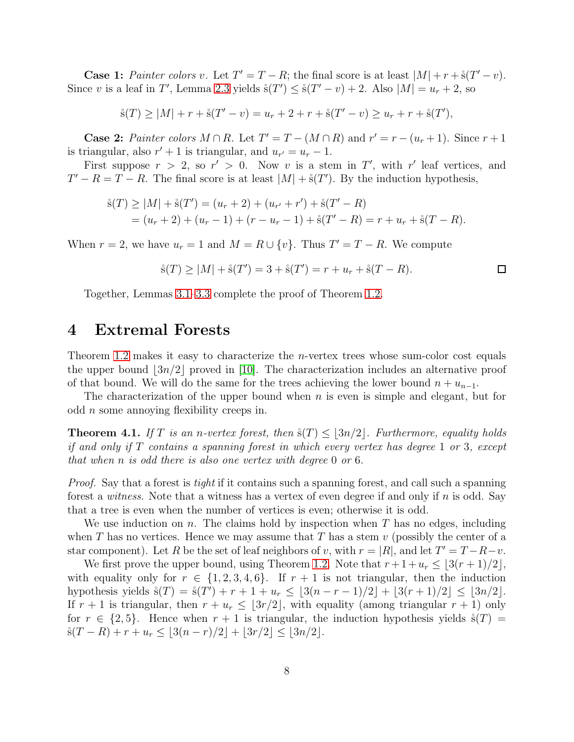**Case 1:** *Painter colors* v. Let  $T' = T - R$ ; the final score is at least  $|M| + r + \dot{s}(T' - v)$ . Since v is a leaf in T', Lemma [2.3](#page-3-0) yields  $\hat{s}(T') \leq \hat{s}(T'-v) + 2$ . Also  $|M| = u_r + 2$ , so

$$
\hat{s}(T) \ge |M| + r + \hat{s}(T' - v) = u_r + 2 + r + \hat{s}(T' - v) \ge u_r + r + \hat{s}(T'),
$$

**Case 2:** *Painter colors*  $M \cap R$ . Let  $T' = T - (M \cap R)$  and  $r' = r - (u_r + 1)$ . Since  $r + 1$ is triangular, also  $r' + 1$  is triangular, and  $u_{r'} = u_r - 1$ .

First suppose  $r > 2$ , so  $r' > 0$ . Now v is a stem in T', with r' leaf vertices, and  $T' - R = T - R$ . The final score is at least  $|M| + \dot{s}(T')$ . By the induction hypothesis,

$$
\hat{s}(T) \ge |M| + \hat{s}(T') = (u_r + 2) + (u_{r'} + r') + \hat{s}(T' - R)
$$
  
=  $(u_r + 2) + (u_r - 1) + (r - u_r - 1) + \hat{s}(T' - R) = r + u_r + \hat{s}(T - R).$ 

When  $r = 2$ , we have  $u_r = 1$  and  $M = R \cup \{v\}$ . Thus  $T' = T - R$ . We compute

$$
\hat{s}(T) \ge |M| + \hat{s}(T') = 3 + \hat{s}(T') = r + u_r + \hat{s}(T - R).
$$

Together, Lemmas [3.1](#page-5-0)[–3.3](#page-6-0) complete the proof of Theorem [1.2.](#page-1-1)

### 4 Extremal Forests

Theorem [1.2](#page-1-1) makes it easy to characterize the n-vertex trees whose sum-color cost equals the upper bound  $|3n/2|$  proved in [\[10\]](#page-17-0). The characterization includes an alternative proof of that bound. We will do the same for the trees achieving the lower bound  $n + u_{n-1}$ .

The characterization of the upper bound when  $n$  is even is simple and elegant, but for odd n some annoying flexibility creeps in.

<span id="page-7-0"></span>**Theorem 4.1.** If T is an n-vertex forest, then  $\frac{s(T)}{S(T)} < |3n/2|$ . Furthermore, equality holds *if and only if* T *contains a spanning forest in which every vertex has degree* 1 *or* 3*, except that when* n *is odd there is also one vertex with degree* 0 *or* 6*.*

*Proof.* Say that a forest is *tight* if it contains such a spanning forest, and call such a spanning forest a *witness*. Note that a witness has a vertex of even degree if and only if n is odd. Say that a tree is even when the number of vertices is even; otherwise it is odd.

We use induction on n. The claims hold by inspection when T has no edges, including when T has no vertices. Hence we may assume that T has a stem  $v$  (possibly the center of a star component). Let R be the set of leaf neighbors of v, with  $r = |R|$ , and let  $T' = T - R - v$ .

We first prove the upper bound, using Theorem [1.2.](#page-1-1) Note that  $r+1+u_r \leq 3(r+1)/2$ , with equality only for  $r \in \{1, 2, 3, 4, 6\}$ . If  $r + 1$  is not triangular, then the induction hypothesis yields  $\hat{s}(T) = \hat{s}(T') + r + 1 + u_r \leq \lfloor 3(n - r - 1)/2 \rfloor + \lfloor 3(r + 1)/2 \rfloor \leq \lfloor 3n/2 \rfloor$ . If  $r + 1$  is triangular, then  $r + u_r \leq |3r/2|$ , with equality (among triangular  $r + 1$ ) only for  $r \in \{2, 5\}$ . Hence when  $r + 1$  is triangular, the induction hypothesis yields  $\mathring{s}(T)$  =  $\hat{s}(T - R) + r + u_r \leq [3(n - r)/2] + [3r/2] \leq [3n/2].$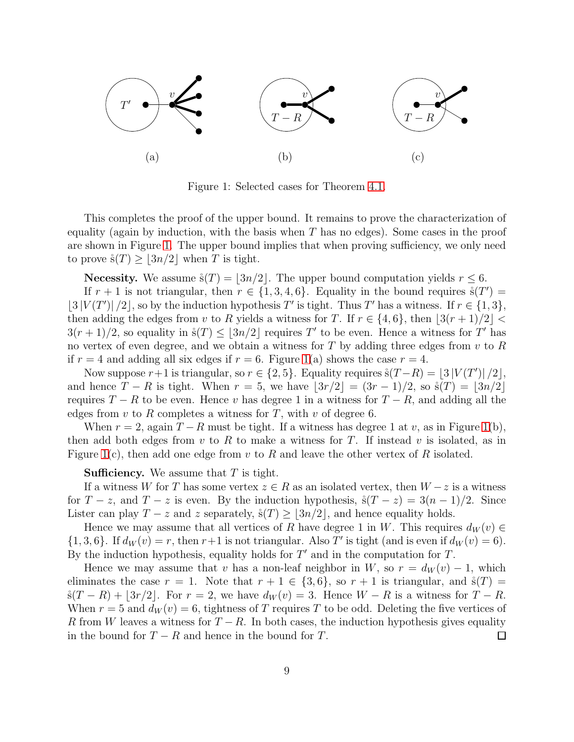

<span id="page-8-0"></span>Figure 1: Selected cases for Theorem [4.1.](#page-7-0)

This completes the proof of the upper bound. It remains to prove the characterization of equality (again by induction, with the basis when  $T$  has no edges). Some cases in the proof are shown in Figure [1.](#page-8-0) The upper bound implies that when proving sufficiency, we only need to prove  $\hat{s}(T) \geq |3n/2|$  when T is tight.

**Necessity.** We assume  $\hat{s}(T) = |3n/2|$ . The upper bound computation yields  $r \leq 6$ .

If  $r + 1$  is not triangular, then  $r \in \{1, 3, 4, 6\}$ . Equality in the bound requires  $\mathring{s}(T') =$  $\lfloor 3 |V(T')|/2 \rfloor$ , so by the induction hypothesis T' is tight. Thus T' has a witness. If  $r \in \{1,3\}$ , then adding the edges from v to R yields a witness for T. If  $r \in \{4, 6\}$ , then  $|3(r + 1)/2|$  $3(r+1)/2$ , so equality in  $\dot{s}(T) \leq \lfloor 3n/2 \rfloor$  requires T' to be even. Hence a witness for T' has no vertex of even degree, and we obtain a witness for  $T$  by adding three edges from  $v$  to  $R$ if  $r = 4$  and adding all six edges if  $r = 6$ . Figure [1\(](#page-8-0)a) shows the case  $r = 4$ .

Now suppose  $r+1$  is triangular, so  $r \in \{2, 5\}$ . Equality requires  $\mathring{s}(T-R) = \lfloor 3 \lfloor V(T') \rfloor / 2 \rfloor$ , and hence  $T - R$  is tight. When  $r = 5$ , we have  $|3r/2| = (3r - 1)/2$ , so  $\sin(T) = |3n/2|$ requires  $T - R$  to be even. Hence v has degree 1 in a witness for  $T - R$ , and adding all the edges from v to R completes a witness for T, with v of degree 6.

When  $r = 2$ , again  $T - R$  must be tight. If a witness has degree 1 at v, as in Figure [1\(](#page-8-0)b), then add both edges from  $v$  to R to make a witness for T. If instead  $v$  is isolated, as in Figure [1\(](#page-8-0)c), then add one edge from v to R and leave the other vertex of R isolated.

#### **Sufficiency.** We assume that  $T$  is tight.

If a witness W for T has some vertex  $z \in R$  as an isolated vertex, then  $W - z$  is a witness for  $T - z$ , and  $T - z$  is even. By the induction hypothesis,  $\frac{s(T - z)}{T - z} = \frac{3(n-1)}{2}$ . Since Lister can play  $T - z$  and z separately,  $\hat{s}(T) \geq |3n/2|$ , and hence equality holds.

Hence we may assume that all vertices of R have degree 1 in W. This requires  $d_W(v) \in$  $\{1,3,6\}$ . If  $d_W(v) = r$ , then  $r+1$  is not triangular. Also T' is tight (and is even if  $d_W(v) = 6$ ). By the induction hypothesis, equality holds for  $T'$  and in the computation for  $T$ .

Hence we may assume that v has a non-leaf neighbor in W, so  $r = d_W(v) - 1$ , which eliminates the case  $r = 1$ . Note that  $r + 1 \in \{3, 6\}$ , so  $r + 1$  is triangular, and  $\dot{s}(T) =$  $\hat{s}(T - R) + |3r/2|$ . For  $r = 2$ , we have  $d_W(v) = 3$ . Hence  $W - R$  is a witness for  $T - R$ . When  $r = 5$  and  $d_W(v) = 6$ , tightness of T requires T to be odd. Deleting the five vertices of R from W leaves a witness for  $T - R$ . In both cases, the induction hypothesis gives equality in the bound for  $T - R$  and hence in the bound for T. in the bound for  $T - R$  and hence in the bound for T.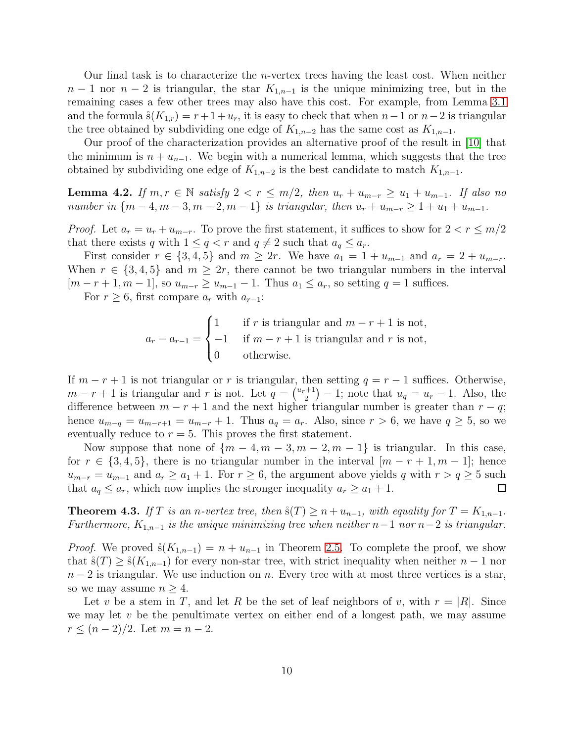Our final task is to characterize the *n*-vertex trees having the least cost. When neither  $n-1$  nor  $n-2$  is triangular, the star  $K_{1,n-1}$  is the unique minimizing tree, but in the remaining cases a few other trees may also have this cost. For example, from Lemma [3.1](#page-5-0) and the formula  $\zeta(K_{1,r}) = r+1+u_r$ , it is easy to check that when  $n-1$  or  $n-2$  is triangular the tree obtained by subdividing one edge of  $K_{1,n-2}$  has the same cost as  $K_{1,n-1}$ .

Our proof of the characterization provides an alternative proof of the result in [\[10\]](#page-17-0) that the minimum is  $n + u_{n-1}$ . We begin with a numerical lemma, which suggests that the tree obtained by subdividing one edge of  $K_{1,n-2}$  is the best candidate to match  $K_{1,n-1}$ .

<span id="page-9-0"></span>**Lemma 4.2.** *If*  $m, r \in \mathbb{N}$  *satisfy*  $2 < r \leq m/2$ , then  $u_r + u_{m-r} \geq u_1 + u_{m-1}$ . *If also no number in*  ${m-4, m-3, m-2, m-1}$  *is triangular, then*  $u_r + u_{m-r} \geq 1 + u_1 + u_{m-1}$ .

*Proof.* Let  $a_r = u_r + u_{m-r}$ . To prove the first statement, it suffices to show for  $2 < r \leq m/2$ that there exists q with  $1 \leq q < r$  and  $q \neq 2$  such that  $a_q \leq a_r$ .

First consider  $r \in \{3, 4, 5\}$  and  $m \ge 2r$ . We have  $a_1 = 1 + u_{m-1}$  and  $a_r = 2 + u_{m-r}$ . When  $r \in \{3, 4, 5\}$  and  $m \geq 2r$ , there cannot be two triangular numbers in the interval  $[m - r + 1, m - 1]$ , so  $u_{m-r} \ge u_{m-1} - 1$ . Thus  $a_1 \le a_r$ , so setting  $q = 1$  suffices.

For  $r \geq 6$ , first compare  $a_r$  with  $a_{r-1}$ :

$$
a_r - a_{r-1} = \begin{cases} 1 & \text{if } r \text{ is triangular and } m-r+1 \text{ is not,} \\ -1 & \text{if } m-r+1 \text{ is triangular and } r \text{ is not,} \\ 0 & \text{otherwise.} \end{cases}
$$

If  $m - r + 1$  is not triangular or r is triangular, then setting  $q = r - 1$  suffices. Otherwise,  $m - r + 1$  is triangular and r is not. Let  $q = \begin{pmatrix} u_r + 1 \\ 2 \end{pmatrix}$  $u_2^{+1}$  – 1; note that  $u_q = u_r - 1$ . Also, the difference between  $m - r + 1$  and the next higher triangular number is greater than  $r - q$ ; hence  $u_{m-q} = u_{m-r+1} = u_{m-r} + 1$ . Thus  $a_q = a_r$ . Also, since  $r > 6$ , we have  $q \ge 5$ , so we eventually reduce to  $r = 5$ . This proves the first statement.

Now suppose that none of  ${m-4, m-3, m-2, m-1}$  is triangular. In this case, for  $r \in \{3, 4, 5\}$ , there is no triangular number in the interval  $[m - r + 1, m - 1]$ ; hence  $u_{m-r} = u_{m-1}$  and  $a_r \ge a_1 + 1$ . For  $r \ge 6$ , the argument above yields q with  $r > q \ge 5$  such that  $a_q \le a_r$ , which now implies the stronger inequality  $a_r > a_1 + 1$ . □ that  $a_q \leq a_r$ , which now implies the stronger inequality  $a_r \geq a_1 + 1$ .

<span id="page-9-1"></span>**Theorem 4.3.** *If* T *is an n-vertex tree, then*  $\dot{s}(T) \geq n + u_{n-1}$ *, with equality for*  $T = K_{1,n-1}$ *. Furthermore,* K1,n−<sup>1</sup> *is the unique minimizing tree when neither* n−1 *nor* n−2 *is triangular.*

*Proof.* We proved  $\hat{s}(K_{1,n-1}) = n + u_{n-1}$  in Theorem [2.5.](#page-4-1) To complete the proof, we show that  $\hat{\mathfrak{s}}(T) \geq \hat{\mathfrak{s}}(K_{1,n-1})$  for every non-star tree, with strict inequality when neither  $n-1$  nor  $n-2$  is triangular. We use induction on n. Every tree with at most three vertices is a star, so we may assume  $n \geq 4$ .

Let v be a stem in T, and let R be the set of leaf neighbors of v, with  $r = |R|$ . Since we may let  $v$  be the penultimate vertex on either end of a longest path, we may assume  $r \le (n-2)/2$ . Let  $m = n-2$ .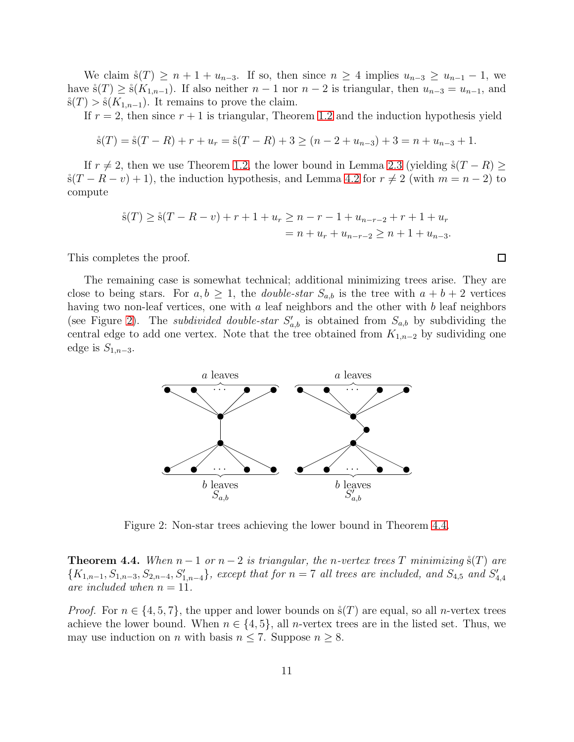We claim  $\mathring{s}(T) \geq n+1+u_{n-3}$ . If so, then since  $n \geq 4$  implies  $u_{n-3} \geq u_{n-1}-1$ , we have  $\hat{s}(T) \geq \hat{s}(K_{1,n-1})$ . If also neither  $n-1$  nor  $n-2$  is triangular, then  $u_{n-3} = u_{n-1}$ , and  $\dot{s}(T) > \dot{s}(K_{1,n-1})$ . It remains to prove the claim.

If  $r = 2$ , then since  $r + 1$  is triangular, Theorem [1.2](#page-1-1) and the induction hypothesis yield

$$
\dot{s}(T) = \dot{s}(T - R) + r + u_r = \dot{s}(T - R) + 3 \ge (n - 2 + u_{n-3}) + 3 = n + u_{n-3} + 1.
$$

If  $r \neq 2$ , then we use Theorem [1.2,](#page-1-1) the lower bound in Lemma [2.3](#page-3-0) (yielding  $\sin(T - R) \geq$  $\hat{s}(T - R - v) + 1$ , the induction hypothesis, and Lemma [4.2](#page-9-0) for  $r \neq 2$  (with  $m = n - 2$ ) to compute

$$
\hat{s}(T) \ge \hat{s}(T - R - v) + r + 1 + u_r \ge n - r - 1 + u_{n-r-2} + r + 1 + u_r
$$
  
=  $n + u_r + u_{n-r-2} \ge n + 1 + u_{n-3}$ .

This completes the proof.

The remaining case is somewhat technical; additional minimizing trees arise. They are close to being stars. For  $a, b \geq 1$ , the *double-star*  $S_{a,b}$  is the tree with  $a + b + 2$  vertices having two non-leaf vertices, one with  $a$  leaf neighbors and the other with  $b$  leaf neighbors (see Figure [2\)](#page-10-0). The *subdivided double-star*  $S'_{a,b}$  is obtained from  $S_{a,b}$  by subdividing the central edge to add one vertex. Note that the tree obtained from  $K_{1,n-2}$  by sudividing one edge is  $S_{1,n-3}$ .



<span id="page-10-0"></span>Figure 2: Non-star trees achieving the lower bound in Theorem [4.4.](#page-10-1)

<span id="page-10-1"></span>**Theorem 4.4.** When  $n-1$  or  $n-2$  is triangular, the n-vertex trees T minimizing  $\hat{\mathbf{s}}(T)$  are  ${K_{1,n-1}, S_{1,n-3}, S_{2,n-4}, S'_{1,n-4}}$ , except that for  $n = 7$  all trees are included, and  $S_{4,5}$  and  $S'_{4,4}$ *are included when*  $n = 11$ *.* 

*Proof.* For  $n \in \{4, 5, 7\}$ , the upper and lower bounds on  $\mathring{s}(T)$  are equal, so all *n*-vertex trees achieve the lower bound. When  $n \in \{4, 5\}$ , all n-vertex trees are in the listed set. Thus, we may use induction on *n* with basis  $n \leq 7$ . Suppose  $n \geq 8$ .

 $\Box$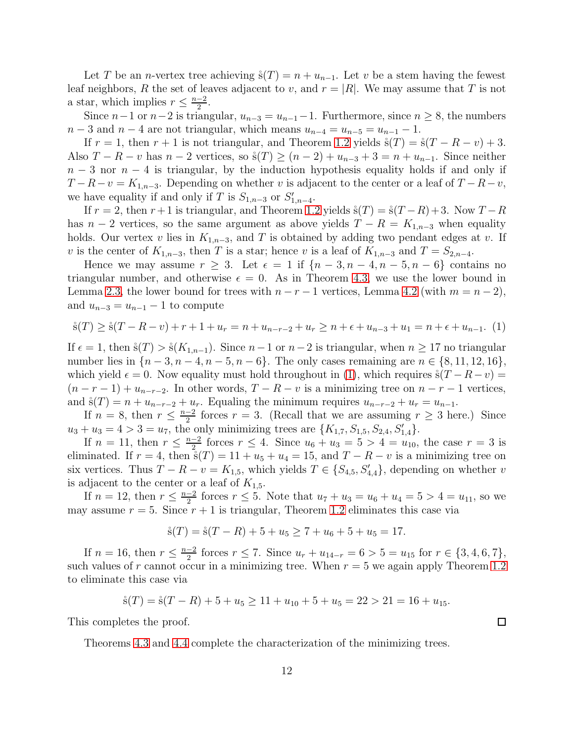Let T be an n-vertex tree achieving  $\hat{s}(T) = n + u_{n-1}$ . Let v be a stem having the fewest leaf neighbors, R the set of leaves adjacent to v, and  $r = |R|$ . We may assume that T is not a star, which implies  $r \leq \frac{n-2}{2}$ .

Since  $n-1$  or  $n-2$  is triangular,  $u_{n-3} = u_{n-1}-1$ . Furthermore, since  $n \geq 8$ , the numbers  $n-3$  and  $n-4$  are not triangular, which means  $u_{n-4} = u_{n-5} = u_{n-1} - 1$ .

If  $r = 1$ , then  $r + 1$  is not triangular, and Theorem [1.2](#page-1-1) yields  $\hat{s}(T) = \hat{s}(T - R - v) + 3$ . Also  $T - R - v$  has  $n - 2$  vertices, so  $\mathring{s}(T) \ge (n - 2) + u_{n-3} + 3 = n + u_{n-1}$ . Since neither  $n-3$  nor  $n-4$  is triangular, by the induction hypothesis equality holds if and only if  $T-R-v = K_{1,n-3}$ . Depending on whether v is adjacent to the center or a leaf of  $T-R-v$ , we have equality if and only if T is  $S_{1,n-3}$  or  $S'_{1,n-4}$ .

If  $r = 2$ , then  $r + 1$  is triangular, and Theorem [1.2](#page-1-1) yields  $\hat{s}(T) = \hat{s}(T - R) + 3$ . Now  $T - R$ has  $n-2$  vertices, so the same argument as above yields  $T - R = K_{1,n-3}$  when equality holds. Our vertex v lies in  $K_{1,n-3}$ , and T is obtained by adding two pendant edges at v. If v is the center of  $K_{1,n-3}$ , then T is a star; hence v is a leaf of  $K_{1,n-3}$  and  $T = S_{2,n-4}$ .

Hence we may assume  $r \geq 3$ . Let  $\epsilon = 1$  if  $\{n-3, n-4, n-5, n-6\}$  contains no triangular number, and otherwise  $\epsilon = 0$ . As in Theorem [4.3,](#page-9-1) we use the lower bound in Lemma [2.3,](#page-3-0) the lower bound for trees with  $n - r - 1$  vertices, Lemma [4.2](#page-9-0) (with  $m = n - 2$ ), and  $u_{n-3} = u_{n-1} - 1$  to compute

<span id="page-11-0"></span>
$$
\hat{s}(T) \ge \hat{s}(T - R - v) + r + 1 + u_r = n + u_{n-r-2} + u_r \ge n + \epsilon + u_{n-3} + u_1 = n + \epsilon + u_{n-1}.
$$
 (1)

If  $\epsilon = 1$ , then  $\hat{s}(T) > \hat{s}(K_{1,n-1})$ . Since  $n-1$  or  $n-2$  is triangular, when  $n \geq 17$  no triangular number lies in  ${n-3, n-4, n-5, n-6}$ . The only cases remaining are  $n \in \{8, 11, 12, 16\}$ , which yield  $\epsilon = 0$ . Now equality must hold throughout in [\(1\)](#page-11-0), which requires  $\hat{s}(T - R - v) =$  $(n - r - 1) + u_{n-r-2}$ . In other words,  $T - R - v$  is a minimizing tree on  $n - r - 1$  vertices, and  $\hat{s}(T) = n + u_{n-r-2} + u_r$ . Equaling the minimum requires  $u_{n-r-2} + u_r = u_{n-1}$ .

If  $n = 8$ , then  $r \leq \frac{n-2}{2}$  forces  $r = 3$ . (Recall that we are assuming  $r \geq 3$  here.) Since  $u_3 + u_3 = 4 > 3 = u_7$ , the only minimizing trees are  $\{K_{1,7}, S_{1,5}, S_{2,4}, S'_{1,4}\}.$ 

If  $n = 11$ , then  $r \leq \frac{n-2}{2}$  forces  $r \leq 4$ . Since  $u_6 + u_3 = 5 > 4 = u_{10}$ , the case  $r = 3$  is eliminated. If  $r = 4$ , then  $\overset{.}{s}(T) = 11 + u_5 + u_4 = 15$ , and  $T - R - v$  is a minimizing tree on six vertices. Thus  $T - R - v = K_{1,5}$ , which yields  $T \in \{S_{4,5}, S'_{4,4}\}$ , depending on whether v is adjacent to the center or a leaf of  $K_{1,5}$ .

If  $n = 12$ , then  $r \leq \frac{n-2}{2}$  forces  $r \leq 5$ . Note that  $u_7 + u_3 = u_6 + u_4 = 5 > 4 = u_{11}$ , so we may assume  $r = 5$ . Since  $r + 1$  is triangular, Theorem [1.2](#page-1-1) eliminates this case via

$$
\dot{s}(T) = \dot{s}(T - R) + 5 + u_5 \ge 7 + u_6 + 5 + u_5 = 17.
$$

If  $n = 16$ , then  $r \leq \frac{n-2}{2}$  forces  $r \leq 7$ . Since  $u_r + u_{14-r} = 6 > 5 = u_{15}$  for  $r \in \{3, 4, 6, 7\}$ , such values of r cannot occur in a minimizing tree. When  $r = 5$  we again apply Theorem [1.2](#page-1-1) to eliminate this case via

$$
\dot{s}(T) = \dot{s}(T - R) + 5 + u_5 \ge 11 + u_{10} + 5 + u_5 = 22 > 21 = 16 + u_{15}.
$$

This completes the proof.

Theorems [4.3](#page-9-1) and [4.4](#page-10-1) complete the characterization of the minimizing trees.

 $\Box$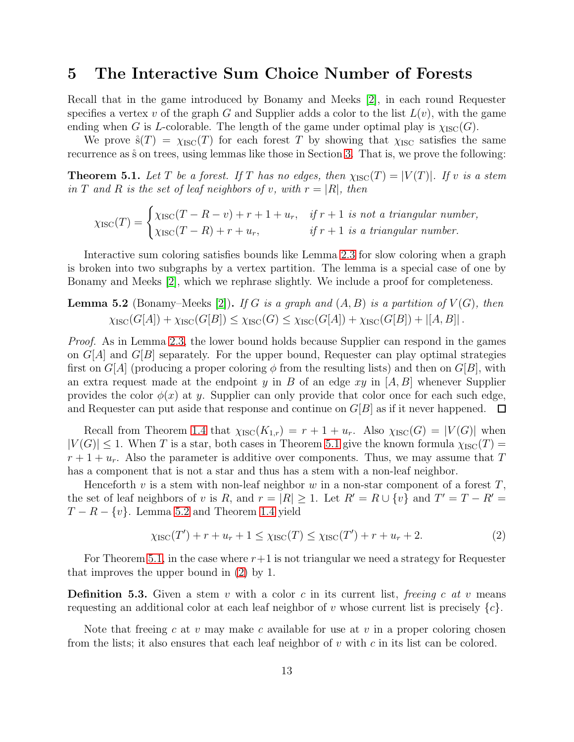## <span id="page-12-0"></span>5 The Interactive Sum Choice Number of Forests

Recall that in the game introduced by Bonamy and Meeks [\[2\]](#page-17-13), in each round Requester specifies a vertex v of the graph G and Supplier adds a color to the list  $L(v)$ , with the game ending when G is L-colorable. The length of the game under optimal play is  $\chi_{\rm{ISC}}(G)$ .

We prove  $\mathring{s}(T) = \chi_{\text{ISC}}(T)$  for each forest T by showing that  $\chi_{\text{ISC}}$  satisfies the same recurrence as  $\dot{s}$  on trees, using lemmas like those in Section [3.](#page-4-2) That is, we prove the following:

<span id="page-12-1"></span>**Theorem 5.1.** Let T be a forest. If T has no edges, then  $\chi_{\text{ISC}}(T) = |V(T)|$ . If v is a stem *in* T and R *is the set of leaf neighbors of* v, with  $r = |R|$ , then

$$
\chi_{\text{ISC}}(T) = \begin{cases} \chi_{\text{ISC}}(T - R - v) + r + 1 + u_r, & \text{if } r + 1 \text{ is not a triangular number,} \\ \chi_{\text{ISC}}(T - R) + r + u_r, & \text{if } r + 1 \text{ is a triangular number.} \end{cases}
$$

Interactive sum coloring satisfies bounds like Lemma [2.3](#page-3-0) for slow coloring when a graph is broken into two subgraphs by a vertex partition. The lemma is a special case of one by Bonamy and Meeks [\[2\]](#page-17-13), which we rephrase slightly. We include a proof for completeness.

<span id="page-12-2"></span>**Lemma 5.2** (Bonamy–Meeks [\[2\]](#page-17-13)). *If* G *is a graph and*  $(A, B)$  *is a partition of*  $V(G)$ *, then*  $\chi_{\rm{ISC}}(G[A]) + \chi_{\rm{ISC}}(G[B]) \leq \chi_{\rm{ISC}}(G) \leq \chi_{\rm{ISC}}(G[A]) + \chi_{\rm{ISC}}(G[B]) + |[A, B]|.$ 

*Proof.* As in Lemma [2.3,](#page-3-0) the lower bound holds because Supplier can respond in the games on  $G[A]$  and  $G[B]$  separately. For the upper bound, Requester can play optimal strategies first on  $G[A]$  (producing a proper coloring  $\phi$  from the resulting lists) and then on  $G[B]$ , with an extra request made at the endpoint y in B of an edge  $xy$  in  $[A, B]$  whenever Supplier provides the color  $\phi(x)$  at y. Supplier can only provide that color once for each such edge, and Requester can put aside that response and continue on  $G[B]$  as if it never happened.  $\Box$ 

Recall from Theorem [1.4](#page-2-0) that  $\chi_{\text{ISC}}(K_{1,r}) = r + 1 + u_r$ . Also  $\chi_{\text{ISC}}(G) = |V(G)|$  when  $|V(G)| \leq 1$ . When T is a star, both cases in Theorem [5.1](#page-12-1) give the known formula  $\chi_{\rm{ISC}}(T)$  =  $r+1+u_r$ . Also the parameter is additive over components. Thus, we may assume that T has a component that is not a star and thus has a stem with a non-leaf neighbor.

Henceforth v is a stem with non-leaf neighbor w in a non-star component of a forest  $T$ , the set of leaf neighbors of v is R, and  $r = |R| \ge 1$ . Let  $R' = R \cup \{v\}$  and  $T' = T - R' =$  $T - R - \{v\}$ . Lemma [5.2](#page-12-2) and Theorem [1.4](#page-2-0) yield

<span id="page-12-3"></span>
$$
\chi_{\rm{ISC}}(T') + r + u_r + 1 \le \chi_{\rm{ISC}}(T) \le \chi_{\rm{ISC}}(T') + r + u_r + 2. \tag{2}
$$

For Theorem [5.1,](#page-12-1) in the case where  $r+1$  is not triangular we need a strategy for Requester that improves the upper bound in [\(2\)](#page-12-3) by 1.

Definition 5.3. Given a stem v with a color c in its current list, *freeing* c *at* v means requesting an additional color at each leaf neighbor of v whose current list is precisely  $\{c\}$ .

Note that freeing c at v may make c available for use at v in a proper coloring chosen from the lists; it also ensures that each leaf neighbor of  $v$  with  $c$  in its list can be colored.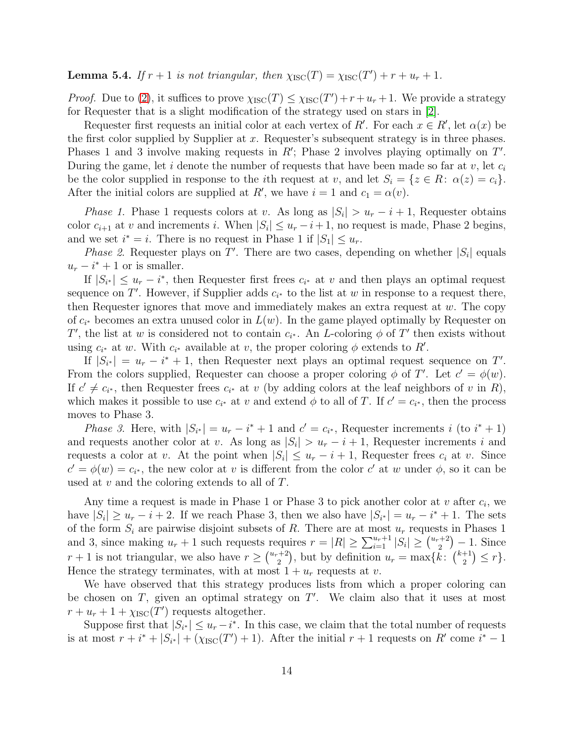<span id="page-13-0"></span>**Lemma 5.4.** If  $r + 1$  is not triangular, then  $\chi_{\text{ISC}}(T) = \chi_{\text{ISC}}(T') + r + u_r + 1$ .

*Proof.* Due to [\(2\)](#page-12-3), it suffices to prove  $\chi_{\text{ISC}}(T) \leq \chi_{\text{ISC}}(T') + r + u_r + 1$ . We provide a strategy for Requester that is a slight modification of the strategy used on stars in [\[2\]](#page-17-13).

Requester first requests an initial color at each vertex of R'. For each  $x \in R'$ , let  $\alpha(x)$  be the first color supplied by Supplier at  $x$ . Requester's subsequent strategy is in three phases. Phases 1 and 3 involve making requests in  $R'$ ; Phase 2 involves playing optimally on  $T'$ . During the game, let i denote the number of requests that have been made so far at  $v$ , let  $c_i$ be the color supplied in response to the *i*th request at v, and let  $S_i = \{z \in R: \alpha(z) = c_i\}.$ After the initial colors are supplied at  $R'$ , we have  $i = 1$  and  $c_1 = \alpha(v)$ .

*Phase 1*. Phase 1 requests colors at v. As long as  $|S_i| > u_r - i + 1$ , Requester obtains color  $c_{i+1}$  at v and increments i. When  $|S_i| \le u_r - i + 1$ , no request is made, Phase 2 begins, and we set  $i^* = i$ . There is no request in Phase 1 if  $|S_1| \le u_r$ .

*Phase 2*. Requester plays on T'. There are two cases, depending on whether  $|S_i|$  equals  $u_r - i^* + 1$  or is smaller.

If  $|S_{i^*}| \leq u_r - i^*$ , then Requester first frees  $c_{i^*}$  at v and then plays an optimal request sequence on T'. However, if Supplier adds  $c_{i^*}$  to the list at w in response to a request there, then Requester ignores that move and immediately makes an extra request at w. The copy of  $c_{i^*}$  becomes an extra unused color in  $L(w)$ . In the game played optimally by Requester on T', the list at w is considered not to contain  $c_{i^*}$ . An L-coloring  $\phi$  of T' then exists without using  $c_{i^*}$  at w. With  $c_{i^*}$  available at v, the proper coloring  $\phi$  extends to R'.

If  $|S_{i^*}| = u_r - i^* + 1$ , then Requester next plays an optimal request sequence on T'. From the colors supplied, Requester can choose a proper coloring  $\phi$  of T'. Let  $c' = \phi(w)$ . If  $c' \neq c_{i^*}$ , then Requester frees  $c_{i^*}$  at v (by adding colors at the leaf neighbors of v in R), which makes it possible to use  $c_{i^*}$  at v and extend  $\phi$  to all of T. If  $c' = c_{i^*}$ , then the process moves to Phase 3.

*Phase 3*. Here, with  $|S_{i^*}| = u_r - i^* + 1$  and  $c' = c_{i^*}$ , Requester increments i (to  $i^* + 1$ ) and requests another color at v. As long as  $|S_i| > u_r - i + 1$ , Requester increments i and requests a color at v. At the point when  $|S_i| \le u_r - i + 1$ , Requester frees  $c_i$  at v. Since  $c' = \phi(w) = c_{i^*}$ , the new color at v is different from the color c' at w under  $\phi$ , so it can be used at  $v$  and the coloring extends to all of  $T$ .

Any time a request is made in Phase 1 or Phase 3 to pick another color at  $v$  after  $c_i$ , we have  $|S_i| \ge u_r - i + 2$ . If we reach Phase 3, then we also have  $|S_{i^*}| = u_r - i^* + 1$ . The sets of the form  $S_i$  are pairwise disjoint subsets of R. There are at most  $u_r$  requests in Phases 1 and 3, since making  $u_r + 1$  such requests requires  $r = |R| \ge \sum_{i=1}^{u_r+1} |S_i| \ge \binom{u_r+2}{2}$  $\binom{+2}{2} - 1$ . Since  $r+1$  is not triangular, we also have  $r \geq \binom{u_r+2}{2}$  $\binom{+2}{2}$ , but by definition  $u_r = \max\{k: \binom{k+1}{2}$  $_{2}^{+1}) \leq r$  }. Hence the strategy terminates, with at most  $1 + u_r$  requests at v.

We have observed that this strategy produces lists from which a proper coloring can be chosen on  $T$ , given an optimal strategy on  $T'$ . We claim also that it uses at most  $r + u_r + 1 + \chi_{\rm{ISC}}(T')$  requests altogether.

Suppose first that  $|S_{i^*}| \leq u_r - i^*$ . In this case, we claim that the total number of requests is at most  $r + i^* + |S_{i^*}| + (\chi_{\text{ISC}}(T') + 1)$ . After the initial  $r + 1$  requests on R' come  $i^* - 1$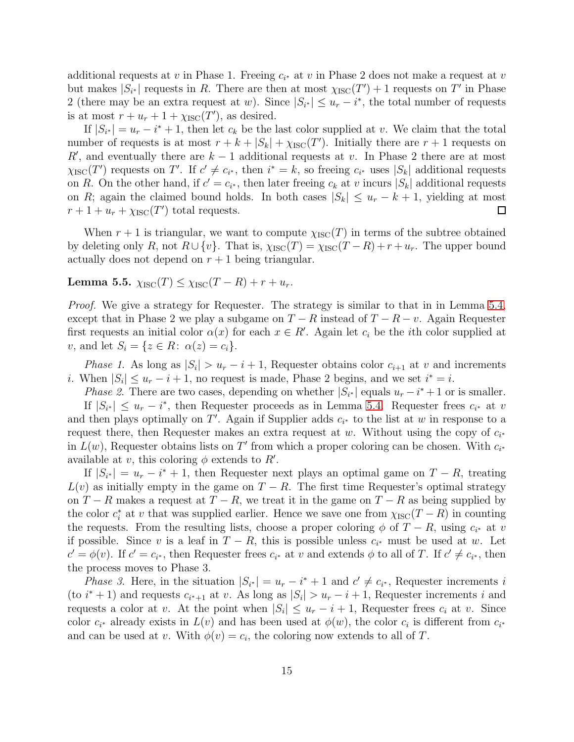additional requests at v in Phase 1. Freeing  $c_{i^*}$  at v in Phase 2 does not make a request at v but makes  $|S_{i^*}|$  requests in R. There are then at most  $\chi_{\rm{ISC}}(T') + 1$  requests on T' in Phase 2 (there may be an extra request at w). Since  $|S_{i^*}| \leq u_r - i^*$ , the total number of requests is at most  $r + u_r + 1 + \chi_{\text{ISC}}(T')$ , as desired.

If  $|S_{i^*}| = u_r - i^* + 1$ , then let  $c_k$  be the last color supplied at v. We claim that the total number of requests is at most  $r + k + |S_k| + \chi_{\text{ISC}}(T')$ . Initially there are  $r + 1$  requests on  $R'$ , and eventually there are  $k-1$  additional requests at v. In Phase 2 there are at most  $\chi_{\rm{ISC}}(T')$  requests on T'. If  $c' \neq c_{i^*}$ , then  $i^* = k$ , so freeing  $c_{i^*}$  uses  $|S_k|$  additional requests on R. On the other hand, if  $c' = c_{i^*}$ , then later freeing  $c_k$  at v incurs  $|S_k|$  additional requests on R; again the claimed bound holds. In both cases  $|S_k| \le u_r - k + 1$ , yielding at most  $r + 1 + u_r + \chi_{\text{ISC}}(T')$  total requests.  $r + 1 + u_r + \chi_{\text{ISC}}(T')$  total requests.

When  $r + 1$  is triangular, we want to compute  $\chi_{\rm{ISC}}(T)$  in terms of the subtree obtained by deleting only R, not  $R \cup \{v\}$ . That is,  $\chi_{\text{ISC}}(T) = \chi_{\text{ISC}}(T - R) + r + u_r$ . The upper bound actually does not depend on  $r + 1$  being triangular.

<span id="page-14-0"></span>Lemma 5.5.  $\chi_{\text{ISC}}(T) \leq \chi_{\text{ISC}}(T - R) + r + u_r$ .

*Proof.* We give a strategy for Requester. The strategy is similar to that in in Lemma [5.4,](#page-13-0) except that in Phase 2 we play a subgame on  $T - R$  instead of  $T - R - v$ . Again Requester first requests an initial color  $\alpha(x)$  for each  $x \in R'$ . Again let  $c_i$  be the *i*th color supplied at v, and let  $S_i = \{z \in R: \alpha(z) = c_i\}.$ 

*Phase 1*. As long as  $|S_i| > u_r - i + 1$ , Requester obtains color  $c_{i+1}$  at v and increments i. When  $|S_i| \le u_r - i + 1$ , no request is made, Phase 2 begins, and we set  $i^* = i$ .

*Phase 2*. There are two cases, depending on whether  $|S_{i^*}|$  equals  $u_r - i^* + 1$  or is smaller. If  $|S_{i^*}| \leq u_r - i^*$ , then Requester proceeds as in Lemma [5.4.](#page-13-0) Requester frees  $c_{i^*}$  at v and then plays optimally on T'. Again if Supplier adds  $c_{i^*}$  to the list at w in response to a request there, then Requester makes an extra request at w. Without using the copy of  $c_{i^*}$ in  $L(w)$ , Requester obtains lists on T' from which a proper coloring can be chosen. With  $c_{i^*}$ available at v, this coloring  $\phi$  extends to  $R'$ .

If  $|S_{i^*}| = u_r - i^* + 1$ , then Requester next plays an optimal game on  $T - R$ , treating  $L(v)$  as initially empty in the game on  $T - R$ . The first time Requester's optimal strategy on  $T - R$  makes a request at  $T - R$ , we treat it in the game on  $T - R$  as being supplied by the color  $c_i^*$  at v that was supplied earlier. Hence we save one from  $\chi_{\rm{ISC}}(T - R)$  in counting the requests. From the resulting lists, choose a proper coloring  $\phi$  of  $T - R$ , using  $c_{i^*}$  at v if possible. Since v is a leaf in  $T - R$ , this is possible unless  $c_{i^*}$  must be used at w. Let  $c' = \phi(v)$ . If  $c' = c_{i^*}$ , then Requester frees  $c_{i^*}$  at v and extends  $\phi$  to all of T. If  $c' \neq c_{i^*}$ , then the process moves to Phase 3.

*Phase 3*. Here, in the situation  $|S_{i^*}| = u_r - i^* + 1$  and  $c' \neq c_{i^*}$ , Requester increments i (to  $i^* + 1$ ) and requests  $c_{i^*+1}$  at v. As long as  $|S_i| > u_r - i + 1$ , Requester increments i and requests a color at v. At the point when  $|S_i| \le u_r - i + 1$ , Requester frees  $c_i$  at v. Since color  $c_{i^*}$  already exists in  $L(v)$  and has been used at  $\phi(w)$ , the color  $c_i$  is different from  $c_{i^*}$ and can be used at v. With  $\phi(v) = c_i$ , the coloring now extends to all of T.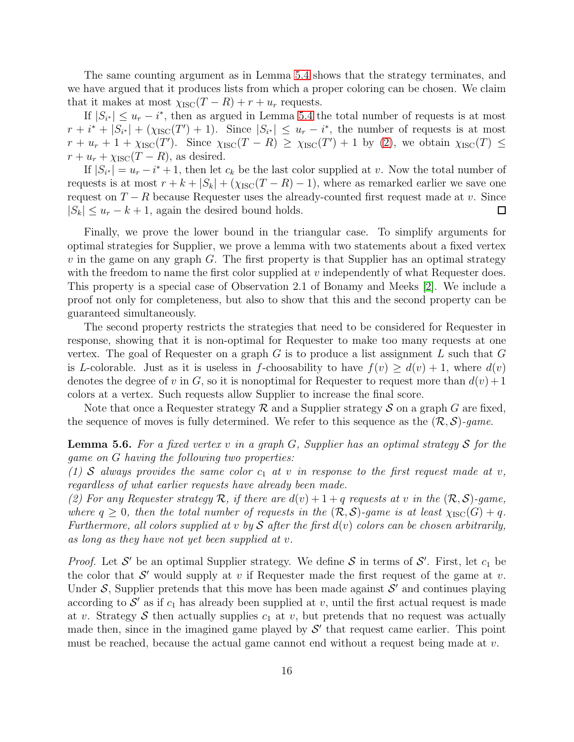The same counting argument as in Lemma [5.4](#page-13-0) shows that the strategy terminates, and we have argued that it produces lists from which a proper coloring can be chosen. We claim that it makes at most  $\chi_{\text{ISC}}(T - R) + r + u_r$  requests.

If  $|S_{i^*}| \leq u_r - i^*$ , then as argued in Lemma [5.4](#page-13-0) the total number of requests is at most  $r + i^* + |S_{i^*}| + (\chi_{\text{ISC}}(T') + 1)$ . Since  $|S_{i^*}| \leq u_r - i^*$ , the number of requests is at most  $r + u_r + 1 + \chi_{\rm ISC}(T')$ . Since  $\chi_{\rm ISC}(T - R) \ge \chi_{\rm ISC}(T') + 1$  by [\(2\)](#page-12-3), we obtain  $\chi_{\rm ISC}(T) \le$  $r + u_r + \chi_{\text{ISC}}(T - R)$ , as desired.

If  $|S_{i^*}| = u_r - i^* + 1$ , then let  $c_k$  be the last color supplied at v. Now the total number of requests is at most  $r + k + |S_k| + (\chi_{\text{ISC}}(T - R) - 1)$ , where as remarked earlier we save one request on  $T - R$  because Requester uses the already-counted first request made at v. Since  $|S_k| \le u_r - k + 1$ , again the desired bound holds.  $|S_k| \le u_r - k + 1$ , again the desired bound holds.

Finally, we prove the lower bound in the triangular case. To simplify arguments for optimal strategies for Supplier, we prove a lemma with two statements about a fixed vertex  $v$  in the game on any graph  $G$ . The first property is that Supplier has an optimal strategy with the freedom to name the first color supplied at  $v$  independently of what Requester does. This property is a special case of Observation 2.1 of Bonamy and Meeks [\[2\]](#page-17-13). We include a proof not only for completeness, but also to show that this and the second property can be guaranteed simultaneously.

The second property restricts the strategies that need to be considered for Requester in response, showing that it is non-optimal for Requester to make too many requests at one vertex. The goal of Requester on a graph  $G$  is to produce a list assignment  $L$  such that  $G$ is L-colorable. Just as it is useless in f-choosability to have  $f(v) > d(v) + 1$ , where  $d(v)$ denotes the degree of v in G, so it is nonoptimal for Requester to request more than  $d(v) + 1$ colors at a vertex. Such requests allow Supplier to increase the final score.

Note that once a Requester strategy R and a Supplier strategy S on a graph G are fixed, the sequence of moves is fully determined. We refer to this sequence as the (R, S)*-game*.

<span id="page-15-0"></span>Lemma 5.6. *For a fixed vertex* v *in a graph* G*, Supplier has an optimal strategy* S *for the game on* G *having the following two properties:*

 $(1)$  S always provides the same color  $c_1$  at v in response to the first request made at v, *regardless of what earlier requests have already been made.*

*(2) For any Requester strategy* R*, if there are* d(v) + 1 + q *requests at* v *in the* (R, S)*-game, where*  $q \geq 0$ *, then the total number of requests in the*  $(R, S)$ *-game is at least*  $\chi_{\text{ISC}}(G) + q$ *. Furthermore, all colors supplied at* v *by*  $S$  *after the first*  $d(v)$  *colors can be chosen arbitrarily, as long as they have not yet been supplied at* v*.*

*Proof.* Let S' be an optimal Supplier strategy. We define S in terms of S'. First, let  $c_1$  be the color that  $\mathcal{S}'$  would supply at v if Requester made the first request of the game at v. Under  $S$ , Supplier pretends that this move has been made against  $S'$  and continues playing according to  $\mathcal{S}'$  as if  $c_1$  has already been supplied at v, until the first actual request is made at v. Strategy  $S$  then actually supplies  $c_1$  at v, but pretends that no request was actually made then, since in the imagined game played by  $\mathcal{S}'$  that request came earlier. This point must be reached, because the actual game cannot end without a request being made at  $v$ .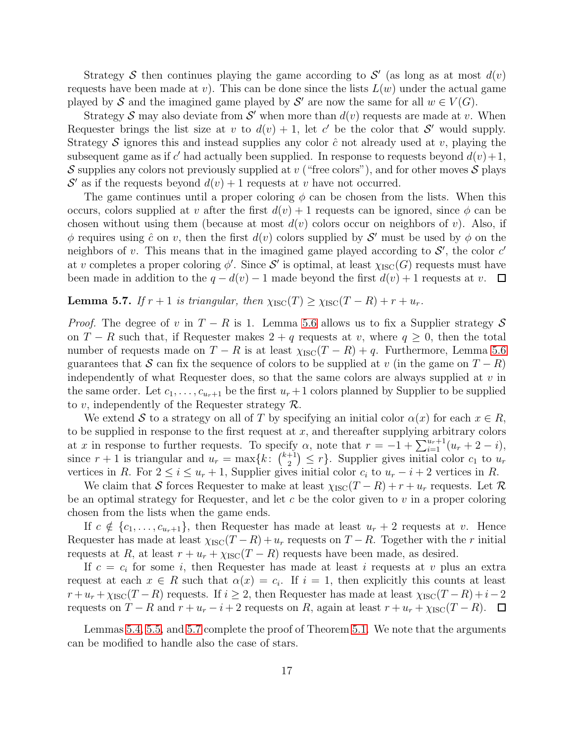Strategy S then continues playing the game according to  $S'$  (as long as at most  $d(v)$ requests have been made at v). This can be done since the lists  $L(w)$  under the actual game played by S and the imagined game played by S' are now the same for all  $w \in V(G)$ .

Strategy S may also deviate from S' when more than  $d(v)$  requests are made at v. When Requester brings the list size at v to  $d(v) + 1$ , let c' be the color that S' would supply. Strategy S ignores this and instead supplies any color  $\hat{c}$  not already used at v, playing the subsequent game as if  $c'$  had actually been supplied. In response to requests beyond  $d(v)+1$ , S supplies any colors not previously supplied at  $v$  ("free colors"), and for other moves S plays  $\mathcal{S}'$  as if the requests beyond  $d(v) + 1$  requests at v have not occurred.

The game continues until a proper coloring  $\phi$  can be chosen from the lists. When this occurs, colors supplied at v after the first  $d(v) + 1$  requests can be ignored, since  $\phi$  can be chosen without using them (because at most  $d(v)$  colors occur on neighbors of v). Also, if  $\phi$  requires using  $\hat{c}$  on v, then the first  $d(v)$  colors supplied by  $\mathcal{S}'$  must be used by  $\phi$  on the neighbors of v. This means that in the imagined game played according to  $\mathcal{S}'$ , the color c' at v completes a proper coloring  $\phi'$ . Since S' is optimal, at least  $\chi_{\rm{ISC}}(G)$  requests must have been made in addition to the  $q - d(v) - 1$  made beyond the first  $d(v) + 1$  requests at v.  $\Box$ 

<span id="page-16-0"></span>**Lemma 5.7.** *If*  $r + 1$  *is triangular, then*  $\chi_{\text{ISC}}(T) \geq \chi_{\text{ISC}}(T - R) + r + u_r$ .

*Proof.* The degree of v in  $T - R$  is 1. Lemma [5.6](#page-15-0) allows us to fix a Supplier strategy S on  $T - R$  such that, if Requester makes  $2 + q$  requests at v, where  $q \geq 0$ , then the total number of requests made on  $T - R$  is at least  $\chi_{\text{ISC}}(T - R) + q$ . Furthermore, Lemma [5.6](#page-15-0) guarantees that S can fix the sequence of colors to be supplied at v (in the game on  $T - R$ ) independently of what Requester does, so that the same colors are always supplied at  $v$  in the same order. Let  $c_1, \ldots, c_{u_r+1}$  be the first  $u_r + 1$  colors planned by Supplier to be supplied to v, independently of the Requester strategy  $\mathcal{R}$ .

We extend S to a strategy on all of T by specifying an initial color  $\alpha(x)$  for each  $x \in R$ , to be supplied in response to the first request at  $x$ , and thereafter supplying arbitrary colors at x in response to further requests. To specify  $\alpha$ , note that  $r = -1 + \sum_{i=1}^{u_r+1} (u_r + 2 - i)$ , since  $r + 1$  is triangular and  $u_r = \max\{k: \binom{k+1}{2}$  $\binom{+1}{2} \leq r$ . Supplier gives initial color  $c_1$  to  $u_r$ vertices in R. For  $2 \le i \le u_r + 1$ , Supplier gives initial color  $c_i$  to  $u_r - i + 2$  vertices in R.

We claim that S forces Requester to make at least  $\chi_{\rm{ISC}}(T - R) + r + u_r$  requests. Let R be an optimal strategy for Requester, and let  $c$  be the color given to  $v$  in a proper coloring chosen from the lists when the game ends.

If  $c \notin \{c_1, \ldots, c_{u_r+1}\},$  then Requester has made at least  $u_r + 2$  requests at v. Hence Requester has made at least  $\chi_{\text{ISC}}(T - R) + u_r$  requests on  $T - R$ . Together with the r initial requests at R, at least  $r + u_r + \chi_{\text{ISC}}(T - R)$  requests have been made, as desired.

If  $c = c_i$  for some i, then Requester has made at least i requests at v plus an extra request at each  $x \in R$  such that  $\alpha(x) = c_i$ . If  $i = 1$ , then explicitly this counts at least  $r + u_r + \chi_{\rm ISC}(T - R)$  requests. If  $i \geq 2$ , then Requester has made at least  $\chi_{\rm ISC}(T - R) + i - 2$ requests on  $T - R$  and  $r + u_r - i + 2$  requests on R, again at least  $r + u_r + \chi_{\text{ISC}}(T - R)$ .  $\Box$ 

Lemmas [5.4,](#page-13-0) [5.5,](#page-14-0) and [5.7](#page-16-0) complete the proof of Theorem [5.1.](#page-12-1) We note that the arguments can be modified to handle also the case of stars.